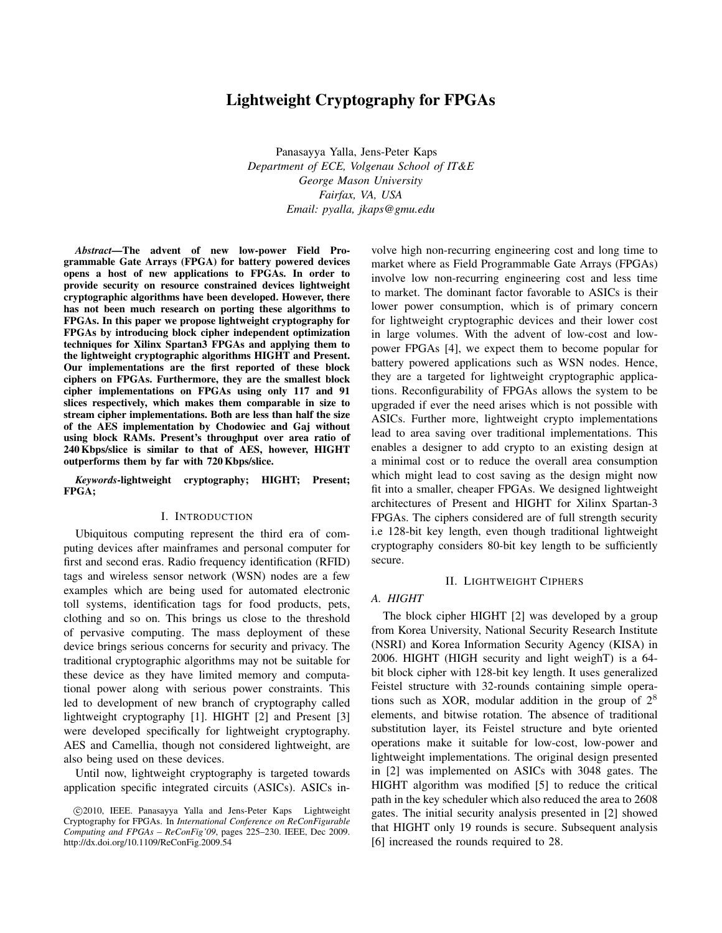# Lightweight Cryptography for FPGAs

Panasayya Yalla, Jens-Peter Kaps *Department of ECE, Volgenau School of IT&E George Mason University Fairfax, VA, USA Email: pyalla, jkaps@gmu.edu*

*Abstract*—The advent of new low-power Field Programmable Gate Arrays (FPGA) for battery powered devices opens a host of new applications to FPGAs. In order to provide security on resource constrained devices lightweight cryptographic algorithms have been developed. However, there has not been much research on porting these algorithms to FPGAs. In this paper we propose lightweight cryptography for FPGAs by introducing block cipher independent optimization techniques for Xilinx Spartan3 FPGAs and applying them to the lightweight cryptographic algorithms HIGHT and Present. Our implementations are the first reported of these block ciphers on FPGAs. Furthermore, they are the smallest block cipher implementations on FPGAs using only 117 and 91 slices respectively, which makes them comparable in size to stream cipher implementations. Both are less than half the size of the AES implementation by Chodowiec and Gaj without using block RAMs. Present's throughput over area ratio of 240 Kbps/slice is similar to that of AES, however, HIGHT outperforms them by far with 720 Kbps/slice.

*Keywords*-lightweight cryptography; HIGHT; Present; FPGA;

### I. INTRODUCTION

Ubiquitous computing represent the third era of computing devices after mainframes and personal computer for first and second eras. Radio frequency identification (RFID) tags and wireless sensor network (WSN) nodes are a few examples which are being used for automated electronic toll systems, identification tags for food products, pets, clothing and so on. This brings us close to the threshold of pervasive computing. The mass deployment of these device brings serious concerns for security and privacy. The traditional cryptographic algorithms may not be suitable for these device as they have limited memory and computational power along with serious power constraints. This led to development of new branch of cryptography called lightweight cryptography [1]. HIGHT [2] and Present [3] were developed specifically for lightweight cryptography. AES and Camellia, though not considered lightweight, are also being used on these devices.

Until now, lightweight cryptography is targeted towards application specific integrated circuits (ASICs). ASICs involve high non-recurring engineering cost and long time to market where as Field Programmable Gate Arrays (FPGAs) involve low non-recurring engineering cost and less time to market. The dominant factor favorable to ASICs is their lower power consumption, which is of primary concern for lightweight cryptographic devices and their lower cost in large volumes. With the advent of low-cost and lowpower FPGAs [4], we expect them to become popular for battery powered applications such as WSN nodes. Hence, they are a targeted for lightweight cryptographic applications. Reconfigurability of FPGAs allows the system to be upgraded if ever the need arises which is not possible with ASICs. Further more, lightweight crypto implementations lead to area saving over traditional implementations. This enables a designer to add crypto to an existing design at a minimal cost or to reduce the overall area consumption which might lead to cost saving as the design might now fit into a smaller, cheaper FPGAs. We designed lightweight architectures of Present and HIGHT for Xilinx Spartan-3 FPGAs. The ciphers considered are of full strength security i.e 128-bit key length, even though traditional lightweight cryptography considers 80-bit key length to be sufficiently secure.

## II. LIGHTWEIGHT CIPHERS

#### *A. HIGHT*

The block cipher HIGHT [2] was developed by a group from Korea University, National Security Research Institute (NSRI) and Korea Information Security Agency (KISA) in 2006. HIGHT (HIGH security and light weighT) is a 64 bit block cipher with 128-bit key length. It uses generalized Feistel structure with 32-rounds containing simple operations such as XOR, modular addition in the group of  $2<sup>8</sup>$ elements, and bitwise rotation. The absence of traditional substitution layer, its Feistel structure and byte oriented operations make it suitable for low-cost, low-power and lightweight implementations. The original design presented in [2] was implemented on ASICs with 3048 gates. The HIGHT algorithm was modified [5] to reduce the critical path in the key scheduler which also reduced the area to 2608 gates. The initial security analysis presented in [2] showed that HIGHT only 19 rounds is secure. Subsequent analysis [6] increased the rounds required to 28.

c 2010, IEEE. Panasayya Yalla and Jens-Peter Kaps Lightweight Cryptography for FPGAs. In *International Conference on ReConFigurable Computing and FPGAs – ReConFig'09*, pages 225–230. IEEE, Dec 2009. http://dx.doi.org/10.1109/ReConFig.2009.54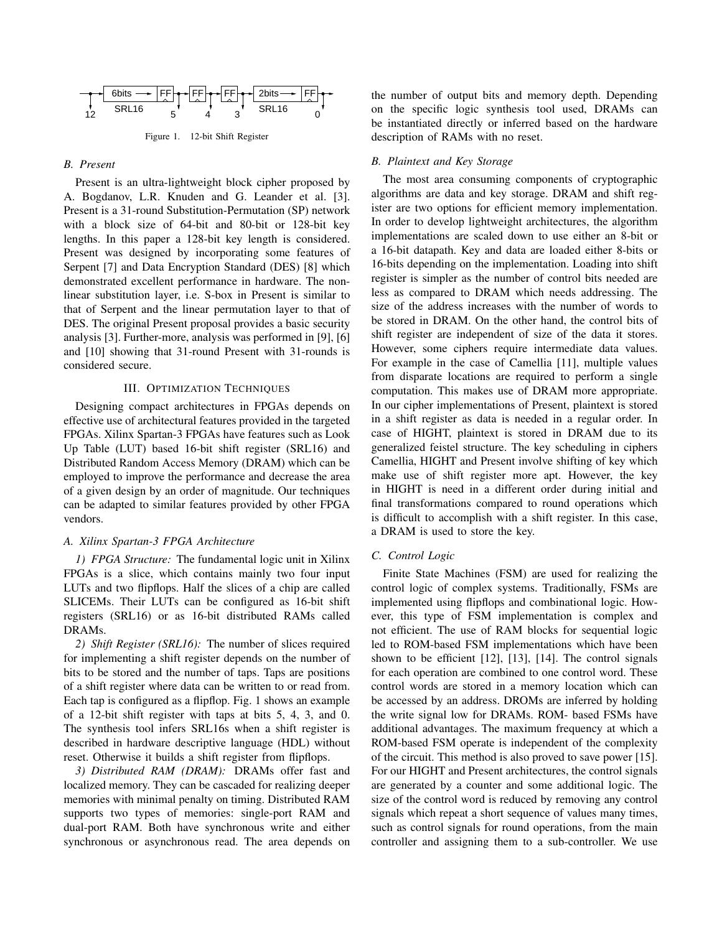

Figure 1. 12-bit Shift Register

## *B. Present*

Present is an ultra-lightweight block cipher proposed by A. Bogdanov, L.R. Knuden and G. Leander et al. [3]. Present is a 31-round Substitution-Permutation (SP) network with a block size of 64-bit and 80-bit or 128-bit key lengths. In this paper a 128-bit key length is considered. Present was designed by incorporating some features of Serpent [7] and Data Encryption Standard (DES) [8] which demonstrated excellent performance in hardware. The nonlinear substitution layer, i.e. S-box in Present is similar to that of Serpent and the linear permutation layer to that of DES. The original Present proposal provides a basic security analysis [3]. Further-more, analysis was performed in [9], [6] and [10] showing that 31-round Present with 31-rounds is considered secure.

## III. OPTIMIZATION TECHNIQUES

Designing compact architectures in FPGAs depends on effective use of architectural features provided in the targeted FPGAs. Xilinx Spartan-3 FPGAs have features such as Look Up Table (LUT) based 16-bit shift register (SRL16) and Distributed Random Access Memory (DRAM) which can be employed to improve the performance and decrease the area of a given design by an order of magnitude. Our techniques can be adapted to similar features provided by other FPGA vendors.

## *A. Xilinx Spartan-3 FPGA Architecture*

*1) FPGA Structure:* The fundamental logic unit in Xilinx FPGAs is a slice, which contains mainly two four input LUTs and two flipflops. Half the slices of a chip are called SLICEMs. Their LUTs can be configured as 16-bit shift registers (SRL16) or as 16-bit distributed RAMs called DRAMs.

*2) Shift Register (SRL16):* The number of slices required for implementing a shift register depends on the number of bits to be stored and the number of taps. Taps are positions of a shift register where data can be written to or read from. Each tap is configured as a flipflop. Fig. 1 shows an example of a 12-bit shift register with taps at bits 5, 4, 3, and 0. The synthesis tool infers SRL16s when a shift register is described in hardware descriptive language (HDL) without reset. Otherwise it builds a shift register from flipflops.

*3) Distributed RAM (DRAM):* DRAMs offer fast and localized memory. They can be cascaded for realizing deeper memories with minimal penalty on timing. Distributed RAM supports two types of memories: single-port RAM and dual-port RAM. Both have synchronous write and either synchronous or asynchronous read. The area depends on the number of output bits and memory depth. Depending on the specific logic synthesis tool used, DRAMs can be instantiated directly or inferred based on the hardware description of RAMs with no reset.

## *B. Plaintext and Key Storage*

The most area consuming components of cryptographic algorithms are data and key storage. DRAM and shift register are two options for efficient memory implementation. In order to develop lightweight architectures, the algorithm implementations are scaled down to use either an 8-bit or a 16-bit datapath. Key and data are loaded either 8-bits or 16-bits depending on the implementation. Loading into shift register is simpler as the number of control bits needed are less as compared to DRAM which needs addressing. The size of the address increases with the number of words to be stored in DRAM. On the other hand, the control bits of shift register are independent of size of the data it stores. However, some ciphers require intermediate data values. For example in the case of Camellia [11], multiple values from disparate locations are required to perform a single computation. This makes use of DRAM more appropriate. In our cipher implementations of Present, plaintext is stored in a shift register as data is needed in a regular order. In case of HIGHT, plaintext is stored in DRAM due to its generalized feistel structure. The key scheduling in ciphers Camellia, HIGHT and Present involve shifting of key which make use of shift register more apt. However, the key in HIGHT is need in a different order during initial and final transformations compared to round operations which is difficult to accomplish with a shift register. In this case, a DRAM is used to store the key.

## *C. Control Logic*

Finite State Machines (FSM) are used for realizing the control logic of complex systems. Traditionally, FSMs are implemented using flipflops and combinational logic. However, this type of FSM implementation is complex and not efficient. The use of RAM blocks for sequential logic led to ROM-based FSM implementations which have been shown to be efficient [12], [13], [14]. The control signals for each operation are combined to one control word. These control words are stored in a memory location which can be accessed by an address. DROMs are inferred by holding the write signal low for DRAMs. ROM- based FSMs have additional advantages. The maximum frequency at which a ROM-based FSM operate is independent of the complexity of the circuit. This method is also proved to save power [15]. For our HIGHT and Present architectures, the control signals are generated by a counter and some additional logic. The size of the control word is reduced by removing any control signals which repeat a short sequence of values many times, such as control signals for round operations, from the main controller and assigning them to a sub-controller. We use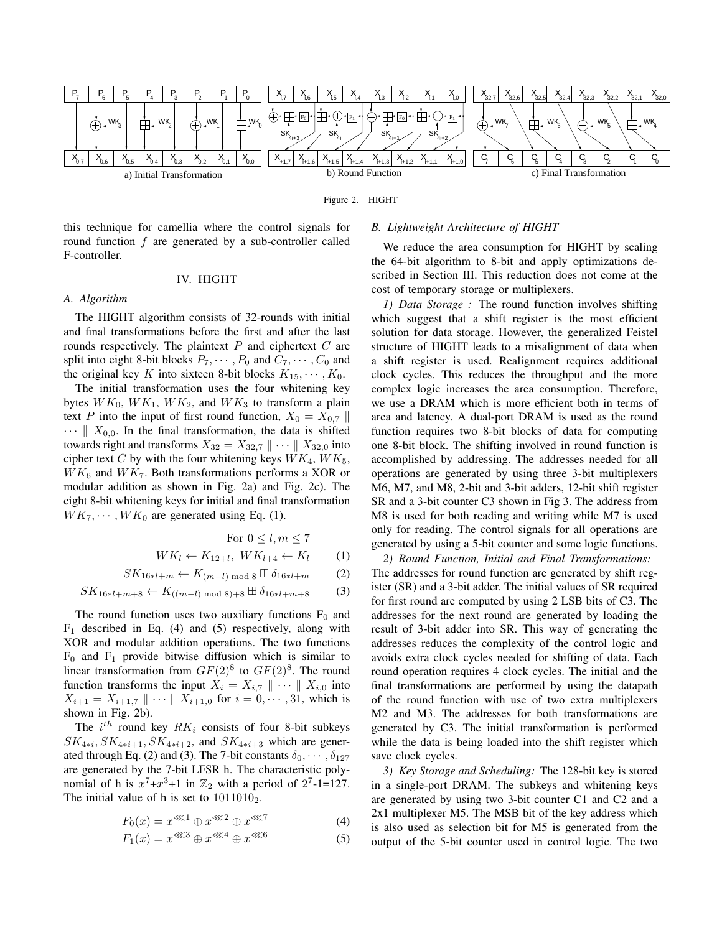

Figure 2. HIGHT

this technique for camellia where the control signals for round function *f* are generated by a sub-controller called F-controller.

#### IV. HIGHT

## *A. Algorithm*

The HIGHT algorithm consists of 32-rounds with initial and final transformations before the first and after the last rounds respectively. The plaintext *P* and ciphertext *C* are split into eight 8-bit blocks  $P_7, \cdots, P_0$  and  $C_7, \cdots, C_0$  and the original key *K* into sixteen 8-bit blocks  $K_{15}, \cdots, K_0$ .

The initial transformation uses the four whitening key bytes  $WK_0$ ,  $WK_1$ ,  $WK_2$ , and  $WK_3$  to transform a plain text *P* into the input of first round function,  $X_0 = X_{0,7}$  ||  $\cdots \parallel X_{0,0}$ . In the final transformation, the data is shifted towards right and transforms  $X_{32} = X_{32,7} \parallel \cdots \parallel X_{32,0}$  into cipher text *C* by with the four whitening keys  $WK_4$ ,  $WK_5$ ,  $WK_6$  and  $WK_7$ . Both transformations performs a XOR or modular addition as shown in Fig. 2a) and Fig. 2c). The eight 8-bit whitening keys for initial and final transformation  $WK_7, \dots, WK_0$  are generated using Eq. (1).

For 
$$
0 \leq l, m \leq 7
$$

$$
WK_l \leftarrow K_{12+l}, \quad WK_{l+4} \leftarrow K_l \tag{1}
$$

$$
SK_{16*l+m} \leftarrow K_{(m-l) \bmod 8} \boxplus \delta_{16*l+m} \qquad (2)
$$

$$
SK_{16*l+m+8} \leftarrow K_{((m-l) \text{ mod } 8)+8} \boxplus \delta_{16*l+m+8} \tag{3}
$$

The round function uses two auxiliary functions  $F_0$  and  $F_1$  described in Eq. (4) and (5) respectively, along with XOR and modular addition operations. The two functions  $F_0$  and  $F_1$  provide bitwise diffusion which is similar to linear transformation from  $GF(2)^8$  to  $GF(2)^8$ . The round function transforms the input  $X_i = X_{i,7} \parallel \cdots \parallel X_{i,0}$  into  $X_{i+1} = X_{i+1,7} \parallel \cdots \parallel X_{i+1,0}$  for  $i = 0, \cdots, 31$ , which is shown in Fig. 2b).

The  $i^{th}$  round key  $RK_i$  consists of four 8-bit subkeys  $SK_{4*i}$ ,  $SK_{4*i+1}$ ,  $SK_{4*i+2}$ , and  $SK_{4*i+3}$  which are generated through Eq. (2) and (3). The 7-bit constants  $\delta_0$ ,  $\cdots$ ,  $\delta_{127}$ are generated by the 7-bit LFSR h. The characteristic polynomial of h is  $x^7 + x^3 + 1$  in  $\mathbb{Z}_2$  with a period of  $2^7 - 1 = 127$ . The initial value of h is set to  $1011010_2$ .

$$
F_0(x) = x^{\lll 1} \oplus x^{\lll 2} \oplus x^{\lll 7} \tag{4}
$$

$$
F_1(x) = x^{\lll 3} \oplus x^{\lll 4} \oplus x^{\lll 6} \tag{5}
$$

#### *B. Lightweight Architecture of HIGHT*

We reduce the area consumption for HIGHT by scaling the 64-bit algorithm to 8-bit and apply optimizations described in Section III. This reduction does not come at the cost of temporary storage or multiplexers.

*1) Data Storage :* The round function involves shifting which suggest that a shift register is the most efficient solution for data storage. However, the generalized Feistel structure of HIGHT leads to a misalignment of data when a shift register is used. Realignment requires additional clock cycles. This reduces the throughput and the more complex logic increases the area consumption. Therefore, we use a DRAM which is more efficient both in terms of area and latency. A dual-port DRAM is used as the round function requires two 8-bit blocks of data for computing one 8-bit block. The shifting involved in round function is accomplished by addressing. The addresses needed for all operations are generated by using three 3-bit multiplexers M6, M7, and M8, 2-bit and 3-bit adders, 12-bit shift register SR and a 3-bit counter C3 shown in Fig 3. The address from M8 is used for both reading and writing while M7 is used only for reading. The control signals for all operations are generated by using a 5-bit counter and some logic functions.

*2) Round Function, Initial and Final Transformations:* The addresses for round function are generated by shift register (SR) and a 3-bit adder. The initial values of SR required for first round are computed by using 2 LSB bits of C3. The addresses for the next round are generated by loading the result of 3-bit adder into SR. This way of generating the addresses reduces the complexity of the control logic and avoids extra clock cycles needed for shifting of data. Each round operation requires 4 clock cycles. The initial and the final transformations are performed by using the datapath of the round function with use of two extra multiplexers M2 and M3. The addresses for both transformations are generated by C3. The initial transformation is performed while the data is being loaded into the shift register which save clock cycles.

*3) Key Storage and Scheduling:* The 128-bit key is stored in a single-port DRAM. The subkeys and whitening keys are generated by using two 3-bit counter C1 and C2 and a 2x1 multiplexer M5. The MSB bit of the key address which is also used as selection bit for M5 is generated from the output of the 5-bit counter used in control logic. The two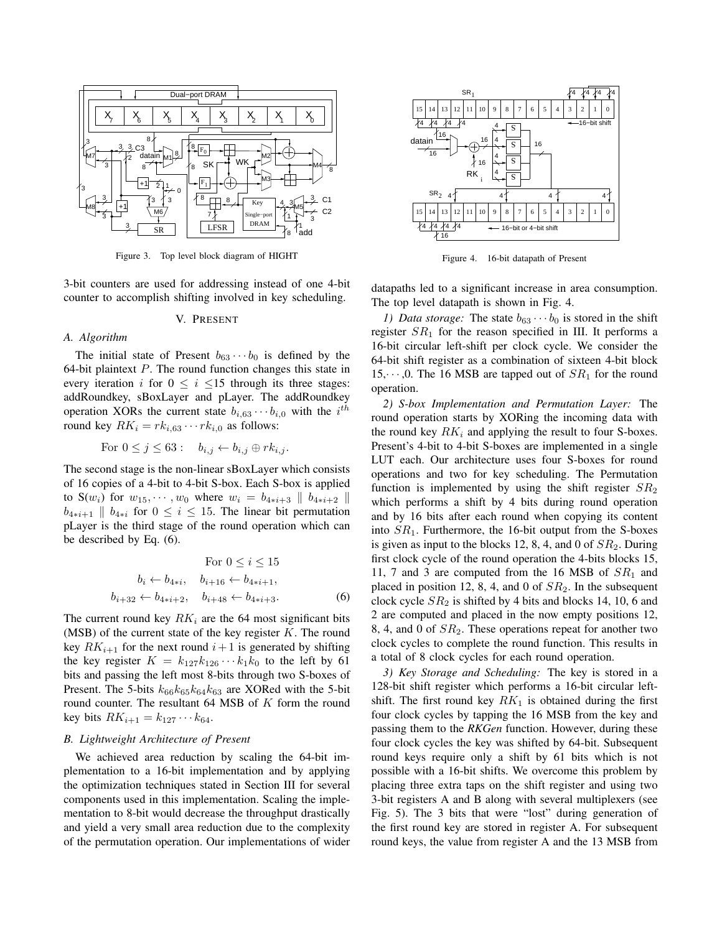

Figure 3. Top level block diagram of HIGHT

3-bit counters are used for addressing instead of one 4-bit counter to accomplish shifting involved in key scheduling.

#### V. PRESENT

#### *A. Algorithm*

The initial state of Present  $b_{63} \cdots b_0$  is defined by the 64-bit plaintext *P*. The round function changes this state in every iteration *i* for  $0 \le i \le 15$  through its three stages: addRoundkey, sBoxLayer and pLayer. The addRoundkey operation XORs the current state  $b_{i,63} \cdots b_{i,0}$  with the  $i^{th}$ round key  $RK_i = rk_{i,63} \cdots rk_{i,0}$  as follows:

For 
$$
0 \leq j \leq 63
$$
:  $b_{i,j} \leftarrow b_{i,j} \oplus rk_{i,j}$ .

The second stage is the non-linear sBoxLayer which consists of 16 copies of a 4-bit to 4-bit S-box. Each S-box is applied to  $S(w_i)$  for  $w_{15}, \dots, w_0$  where  $w_i = b_{4+i+3} || b_{4+i+2} ||$ *b*<sub>4</sub><sup>*i*</sup>+1 *k b*<sub>4*\*i*</sub> for 0 ≤ *i* ≤ 15. The linear bit permutation pLayer is the third stage of the round operation which can be described by Eq. (6).

For 
$$
0 \le i \le 15
$$
  
\n $b_i \leftarrow b_{4\ast i}, \quad b_{i+16} \leftarrow b_{4\ast i+1},$   
\n $b_{i+32} \leftarrow b_{4\ast i+2}, \quad b_{i+48} \leftarrow b_{4\ast i+3}.$  (6)

The current round key  $RK_i$  are the 64 most significant bits (MSB) of the current state of the key register *K*. The round key  $RK_{i+1}$  for the next round  $i+1$  is generated by shifting the key register  $K = k_{127}k_{126}\cdots k_1k_0$  to the left by 61 bits and passing the left most 8-bits through two S-boxes of Present. The 5-bits  $k_{66}k_{65}k_{64}k_{63}$  are XORed with the 5-bit round counter. The resultant 64 MSB of *K* form the round  $key \; bits \; RK_{i+1} = k_{127} \cdots k_{64}.$ 

## *B. Lightweight Architecture of Present*

We achieved area reduction by scaling the 64-bit implementation to a 16-bit implementation and by applying the optimization techniques stated in Section III for several components used in this implementation. Scaling the implementation to 8-bit would decrease the throughput drastically and yield a very small area reduction due to the complexity of the permutation operation. Our implementations of wider



Figure 4. 16-bit datapath of Present

datapaths led to a significant increase in area consumption. The top level datapath is shown in Fig. 4.

*1) Data storage:* The state  $b_{63} \cdots b_0$  is stored in the shift register  $SR<sub>1</sub>$  for the reason specified in III. It performs a 16-bit circular left-shift per clock cycle. We consider the 64-bit shift register as a combination of sixteen 4-bit block 15,*· · ·* ,0. The 16 MSB are tapped out of *SR*<sup>1</sup> for the round operation.

*2) S-box Implementation and Permutation Layer:* The round operation starts by XORing the incoming data with the round key  $RK_i$  and applying the result to four S-boxes. Present's 4-bit to 4-bit S-boxes are implemented in a single LUT each. Our architecture uses four S-boxes for round operations and two for key scheduling. The Permutation function is implemented by using the shift register  $SR<sub>2</sub>$ which performs a shift by 4 bits during round operation and by 16 bits after each round when copying its content into *SR*1. Furthermore, the 16-bit output from the S-boxes is given as input to the blocks 12, 8, 4, and 0 of *SR*2. During first clock cycle of the round operation the 4-bits blocks 15, 11, 7 and 3 are computed from the 16 MSB of  $SR<sub>1</sub>$  and placed in position 12, 8, 4, and 0 of *SR*2. In the subsequent clock cycle *SR*<sup>2</sup> is shifted by 4 bits and blocks 14, 10, 6 and 2 are computed and placed in the now empty positions 12, 8, 4, and 0 of *SR*2. These operations repeat for another two clock cycles to complete the round function. This results in a total of 8 clock cycles for each round operation.

*3) Key Storage and Scheduling:* The key is stored in a 128-bit shift register which performs a 16-bit circular leftshift. The first round key  $RK_1$  is obtained during the first four clock cycles by tapping the 16 MSB from the key and passing them to the *RKGen* function. However, during these four clock cycles the key was shifted by 64-bit. Subsequent round keys require only a shift by 61 bits which is not possible with a 16-bit shifts. We overcome this problem by placing three extra taps on the shift register and using two 3-bit registers A and B along with several multiplexers (see Fig. 5). The 3 bits that were "lost" during generation of the first round key are stored in register A. For subsequent round keys, the value from register A and the 13 MSB from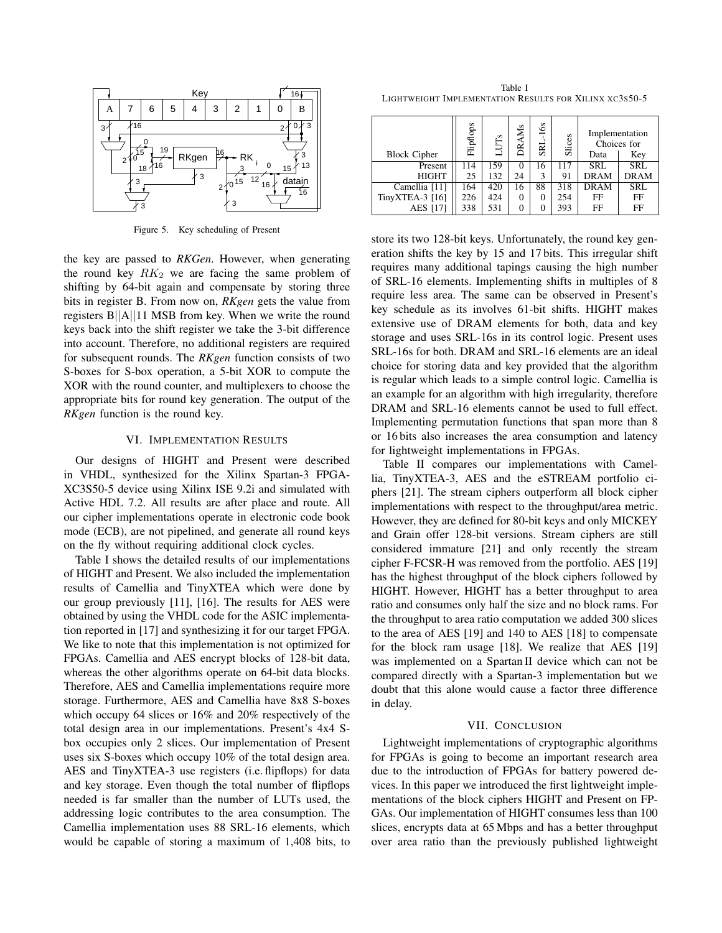

Figure 5. Key scheduling of Present

the key are passed to *RKGen*. However, when generating the round key  $RK_2$  we are facing the same problem of shifting by 64-bit again and compensate by storing three bits in register B. From now on, *RKgen* gets the value from registers B*||*A*||*11 MSB from key. When we write the round keys back into the shift register we take the 3-bit difference into account. Therefore, no additional registers are required for subsequent rounds. The *RKgen* function consists of two S-boxes for S-box operation, a 5-bit XOR to compute the XOR with the round counter, and multiplexers to choose the appropriate bits for round key generation. The output of the *RKgen* function is the round key.

#### VI. IMPLEMENTATION RESULTS

Our designs of HIGHT and Present were described in VHDL, synthesized for the Xilinx Spartan-3 FPGA-XC3S50-5 device using Xilinx ISE 9.2i and simulated with Active HDL 7.2. All results are after place and route. All our cipher implementations operate in electronic code book mode (ECB), are not pipelined, and generate all round keys on the fly without requiring additional clock cycles.

Table I shows the detailed results of our implementations of HIGHT and Present. We also included the implementation results of Camellia and TinyXTEA which were done by our group previously [11], [16]. The results for AES were obtained by using the VHDL code for the ASIC implementation reported in [17] and synthesizing it for our target FPGA. We like to note that this implementation is not optimized for FPGAs. Camellia and AES encrypt blocks of 128-bit data, whereas the other algorithms operate on 64-bit data blocks. Therefore, AES and Camellia implementations require more storage. Furthermore, AES and Camellia have 8x8 S-boxes which occupy 64 slices or 16% and 20% respectively of the total design area in our implementations. Present's 4x4 Sbox occupies only 2 slices. Our implementation of Present uses six S-boxes which occupy 10% of the total design area. AES and TinyXTEA-3 use registers (i.e. flipflops) for data and key storage. Even though the total number of flipflops needed is far smaller than the number of LUTs used, the addressing logic contributes to the area consumption. The Camellia implementation uses 88 SRL-16 elements, which would be capable of storing a maximum of 1,408 bits, to

Table I LIGHTWEIGHT IMPLEMENTATION RESULTS FOR XILINX XC3S50-5

|                     | Flipflops | s   | <b>DRAMs</b> | $-16s$<br>SRI | Slices | Implementation<br>Choices for |             |
|---------------------|-----------|-----|--------------|---------------|--------|-------------------------------|-------------|
| <b>Block Cipher</b> |           |     |              |               |        | Data                          | Key         |
| Present             | 114       | 159 | $\theta$     | 16            | 117    | <b>SRL</b>                    | <b>SRL</b>  |
| <b>HIGHT</b>        | 25        | 132 | 24           | 3             | 91     | <b>DRAM</b>                   | <b>DRAM</b> |
| Camellia [11]       | 164       | 420 | 16           | 88            | 318    | <b>DRAM</b>                   | <b>SRL</b>  |
| TinyXTEA-3 [16]     | 226       | 424 | 0            | 0             | 254    | FF                            | FF          |
| <b>AES</b> [17]     | 338       | 531 | 0            | $\Omega$      | 393    | FF                            | FF          |

store its two 128-bit keys. Unfortunately, the round key generation shifts the key by 15 and 17 bits. This irregular shift requires many additional tapings causing the high number of SRL-16 elements. Implementing shifts in multiples of 8 require less area. The same can be observed in Present's key schedule as its involves 61-bit shifts. HIGHT makes extensive use of DRAM elements for both, data and key storage and uses SRL-16s in its control logic. Present uses SRL-16s for both. DRAM and SRL-16 elements are an ideal choice for storing data and key provided that the algorithm is regular which leads to a simple control logic. Camellia is an example for an algorithm with high irregularity, therefore DRAM and SRL-16 elements cannot be used to full effect. Implementing permutation functions that span more than 8 or 16 bits also increases the area consumption and latency for lightweight implementations in FPGAs.

Table II compares our implementations with Camellia, TinyXTEA-3, AES and the eSTREAM portfolio ciphers [21]. The stream ciphers outperform all block cipher implementations with respect to the throughput/area metric. However, they are defined for 80-bit keys and only MICKEY and Grain offer 128-bit versions. Stream ciphers are still considered immature [21] and only recently the stream cipher F-FCSR-H was removed from the portfolio. AES [19] has the highest throughput of the block ciphers followed by HIGHT. However, HIGHT has a better throughput to area ratio and consumes only half the size and no block rams. For the throughput to area ratio computation we added 300 slices to the area of AES [19] and 140 to AES [18] to compensate for the block ram usage [18]. We realize that AES [19] was implemented on a Spartan II device which can not be compared directly with a Spartan-3 implementation but we doubt that this alone would cause a factor three difference in delay.

## VII. CONCLUSION

Lightweight implementations of cryptographic algorithms for FPGAs is going to become an important research area due to the introduction of FPGAs for battery powered devices. In this paper we introduced the first lightweight implementations of the block ciphers HIGHT and Present on FP-GAs. Our implementation of HIGHT consumes less than 100 slices, encrypts data at 65 Mbps and has a better throughput over area ratio than the previously published lightweight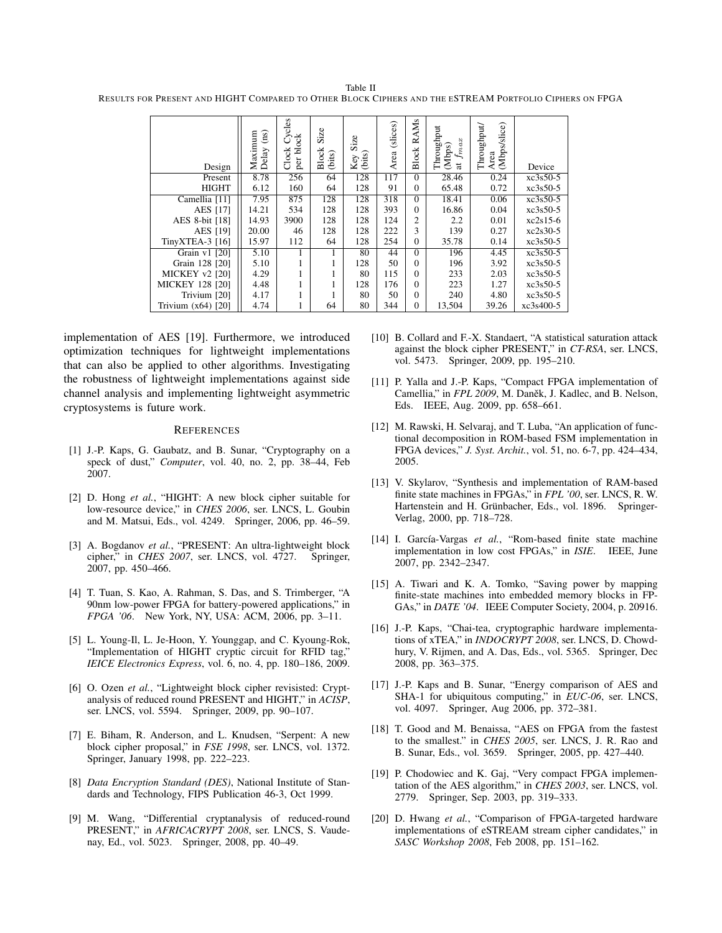Table II RESULTS FOR PRESENT AND HIGHT COMPARED TO OTHER BLOCK CIPHERS AND THE ESTREAM PORTFOLIO CIPHERS ON FPGA

| Design                | Maximum<br>$\rm \overline{1}$<br>Delay | ycles<br>8<br>Clock<br>ᅙ<br>per | Size<br><b>Block</b><br>(bits) | Size<br>Key S | (slices)<br>Area | RAMs<br>Block | Throughput<br>ax<br>(Mbps)<br>$f_m$<br>$\overline{a}$ | Area<br>(Mbps/slice)<br>Throughput/ | Device     |
|-----------------------|----------------------------------------|---------------------------------|--------------------------------|---------------|------------------|---------------|-------------------------------------------------------|-------------------------------------|------------|
| Present               | 8.78                                   | 256                             | 64                             | 128           | 117              | $\Omega$      | 28.46                                                 | 0.24                                | xc3s50-5   |
| <b>HIGHT</b>          | 6.12                                   | 160                             | 64                             | 128           | 91               | $\Omega$      | 65.48                                                 | 0.72                                | $xc3s50-5$ |
| Camellia [11]         | 7.95                                   | 875                             | 128                            | 128           | 318              | $\Omega$      | 18.41                                                 | 0.06                                | $xc3s50-5$ |
| <b>AES</b> [17]       | 14.21                                  | 534                             | 128                            | 128           | 393              | $\Omega$      | 16.86                                                 | 0.04                                | $xc3s50-5$ |
| AES 8-bit [18]        | 14.93                                  | 3900                            | 128                            | 128           | 124              | 2             | 2.2                                                   | 0.01                                | $xc2s15-6$ |
| <b>AES</b> [19]       | 20.00                                  | 46                              | 128                            | 128           | 222              | 3             | 139                                                   | 0.27                                | $xc2s30-5$ |
| TinyXTEA-3 [16]       | 15.97                                  | 112                             | 64                             | 128           | 254              | $\Omega$      | 35.78                                                 | 0.14                                | $xc3s50-5$ |
| Grain v1 [20]         | 5.10                                   |                                 |                                | 80            | 44               | $\Omega$      | 196                                                   | 4.45                                | $xc3s50-5$ |
| Grain 128 [20]        | 5.10                                   |                                 |                                | 128           | 50               | $\Omega$      | 196                                                   | 3.92                                | $xc3s50-5$ |
| <b>MICKEY v2 [20]</b> | 4.29                                   |                                 |                                | 80            | 115              | $\Omega$      | 233                                                   | 2.03                                | $xc3s50-5$ |
| MICKEY 128 [20]       | 4.48                                   |                                 |                                | 128           | 176              | $\Omega$      | 223                                                   | 1.27                                | $xc3s50-5$ |
| Trivium [20]          | 4.17                                   |                                 |                                | 80            | 50               | $\Omega$      | 240                                                   | 4.80                                | $xc3s50-5$ |
| Trivium $(x64)$ [20]  | 4.74                                   |                                 | 64                             | 80            | 344              | $\Omega$      | 13,504                                                | 39.26                               | xc3s400-5  |

implementation of AES [19]. Furthermore, we introduced optimization techniques for lightweight implementations that can also be applied to other algorithms. Investigating the robustness of lightweight implementations against side channel analysis and implementing lightweight asymmetric cryptosystems is future work.

## **REFERENCES**

- [1] J.-P. Kaps, G. Gaubatz, and B. Sunar, "Cryptography on a speck of dust," *Computer*, vol. 40, no. 2, pp. 38–44, Feb 2007.
- [2] D. Hong *et al.*, "HIGHT: A new block cipher suitable for low-resource device," in *CHES 2006*, ser. LNCS, L. Goubin and M. Matsui, Eds., vol. 4249. Springer, 2006, pp. 46–59.
- [3] A. Bogdanov *et al.*, "PRESENT: An ultra-lightweight block cipher," in *CHES 2007*, ser. LNCS, vol. 4727. Springer, 2007, pp. 450–466.
- [4] T. Tuan, S. Kao, A. Rahman, S. Das, and S. Trimberger, "A 90nm low-power FPGA for battery-powered applications," in *FPGA '06*. New York, NY, USA: ACM, 2006, pp. 3–11.
- [5] L. Young-Il, L. Je-Hoon, Y. Younggap, and C. Kyoung-Rok, "Implementation of HIGHT cryptic circuit for RFID tag," *IEICE Electronics Express*, vol. 6, no. 4, pp. 180–186, 2009.
- [6] O. Ozen *et al.*, "Lightweight block cipher revisisted: Cryptanalysis of reduced round PRESENT and HIGHT," in *ACISP*, ser. LNCS, vol. 5594. Springer, 2009, pp. 90–107.
- [7] E. Biham, R. Anderson, and L. Knudsen, "Serpent: A new block cipher proposal," in *FSE 1998*, ser. LNCS, vol. 1372. Springer, January 1998, pp. 222–223.
- [8] *Data Encryption Standard (DES)*, National Institute of Standards and Technology, FIPS Publication 46-3, Oct 1999.
- [9] M. Wang, "Differential cryptanalysis of reduced-round PRESENT," in *AFRICACRYPT 2008*, ser. LNCS, S. Vaudenay, Ed., vol. 5023. Springer, 2008, pp. 40–49.
- [10] B. Collard and F.-X. Standaert, "A statistical saturation attack against the block cipher PRESENT," in *CT-RSA*, ser. LNCS, vol. 5473. Springer, 2009, pp. 195–210.
- [11] P. Yalla and J.-P. Kaps, "Compact FPGA implementation of Camellia," in *FPL 2009*, M. Daněk, J. Kadlec, and B. Nelson, Eds. IEEE, Aug. 2009, pp. 658–661.
- [12] M. Rawski, H. Selvaraj, and T. Luba, "An application of functional decomposition in ROM-based FSM implementation in FPGA devices," *J. Syst. Archit.*, vol. 51, no. 6-7, pp. 424–434, 2005.
- [13] V. Skylarov, "Synthesis and implementation of RAM-based finite state machines in FPGAs," in *FPL '00*, ser. LNCS, R. W. Hartenstein and H. Grünbacher, Eds., vol. 1896. Springer-Verlag, 2000, pp. 718–728.
- [14] I. García-Vargas *et al.*, "Rom-based finite state machine implementation in low cost FPGAs," in *ISIE*. IEEE, June 2007, pp. 2342–2347.
- [15] A. Tiwari and K. A. Tomko, "Saving power by mapping finite-state machines into embedded memory blocks in FP-GAs," in *DATE '04*. IEEE Computer Society, 2004, p. 20916.
- [16] J.-P. Kaps, "Chai-tea, cryptographic hardware implementations of xTEA," in *INDOCRYPT 2008*, ser. LNCS, D. Chowdhury, V. Rijmen, and A. Das, Eds., vol. 5365. Springer, Dec 2008, pp. 363–375.
- [17] J.-P. Kaps and B. Sunar, "Energy comparison of AES and SHA-1 for ubiquitous computing," in *EUC-06*, ser. LNCS, vol. 4097. Springer, Aug 2006, pp. 372–381.
- [18] T. Good and M. Benaissa, "AES on FPGA from the fastest to the smallest." in *CHES 2005*, ser. LNCS, J. R. Rao and B. Sunar, Eds., vol. 3659. Springer, 2005, pp. 427–440.
- [19] P. Chodowiec and K. Gaj, "Very compact FPGA implementation of the AES algorithm," in *CHES 2003*, ser. LNCS, vol. 2779. Springer, Sep. 2003, pp. 319–333.
- [20] D. Hwang *et al.*, "Comparison of FPGA-targeted hardware implementations of eSTREAM stream cipher candidates," in *SASC Workshop 2008*, Feb 2008, pp. 151–162.